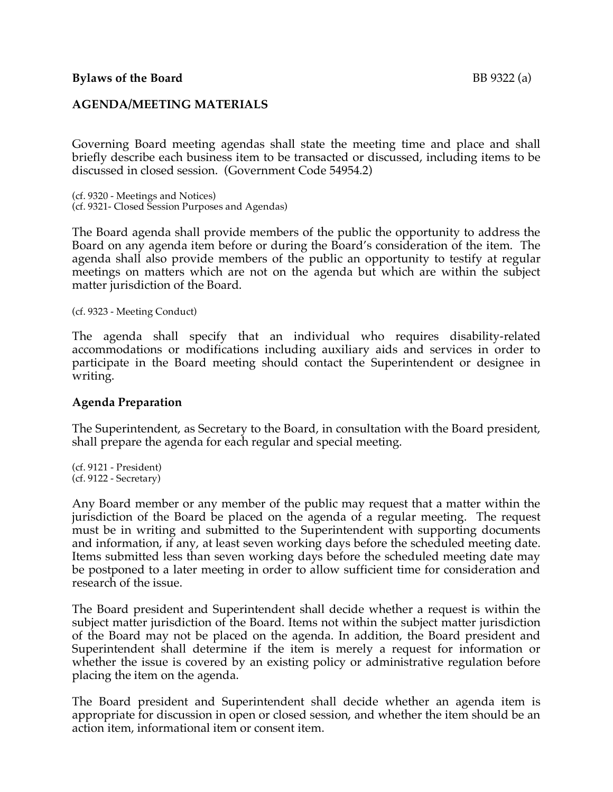## **Bylaws** of the Board BB 9322 (a)

## **AGENDA/MEETING MATERIALS**

Governing Board meeting agendas shall state the meeting time and place and shall briefly describe each business item to be transacted or discussed, including items to be discussed in closed session. (Government Code 54954.2)

(cf. 9320 - Meetings and Notices) (cf. 9321- Closed Session Purposes and Agendas)

The Board agenda shall provide members of the public the opportunity to address the Board on any agenda item before or during the Board's consideration of the item. The agenda shall also provide members of the public an opportunity to testify at regular meetings on matters which are not on the agenda but which are within the subject matter jurisdiction of the Board.

(cf. 9323 - Meeting Conduct)

The agenda shall specify that an individual who requires disability-related accommodations or modifications including auxiliary aids and services in order to participate in the Board meeting should contact the Superintendent or designee in writing.

#### **Agenda Preparation**

The Superintendent, as Secretary to the Board, in consultation with the Board president, shall prepare the agenda for each regular and special meeting.

(cf. 9121 - President) (cf. 9122 - Secretary)

Any Board member or any member of the public may request that a matter within the jurisdiction of the Board be placed on the agenda of a regular meeting. The request must be in writing and submitted to the Superintendent with supporting documents and information, if any, at least seven working days before the scheduled meeting date. Items submitted less than seven working days before the scheduled meeting date may be postponed to a later meeting in order to allow sufficient time for consideration and research of the issue.

The Board president and Superintendent shall decide whether a request is within the subject matter jurisdiction of the Board. Items not within the subject matter jurisdiction of the Board may not be placed on the agenda. In addition, the Board president and Superintendent shall determine if the item is merely a request for information or whether the issue is covered by an existing policy or administrative regulation before placing the item on the agenda.

The Board president and Superintendent shall decide whether an agenda item is appropriate for discussion in open or closed session, and whether the item should be an action item, informational item or consent item.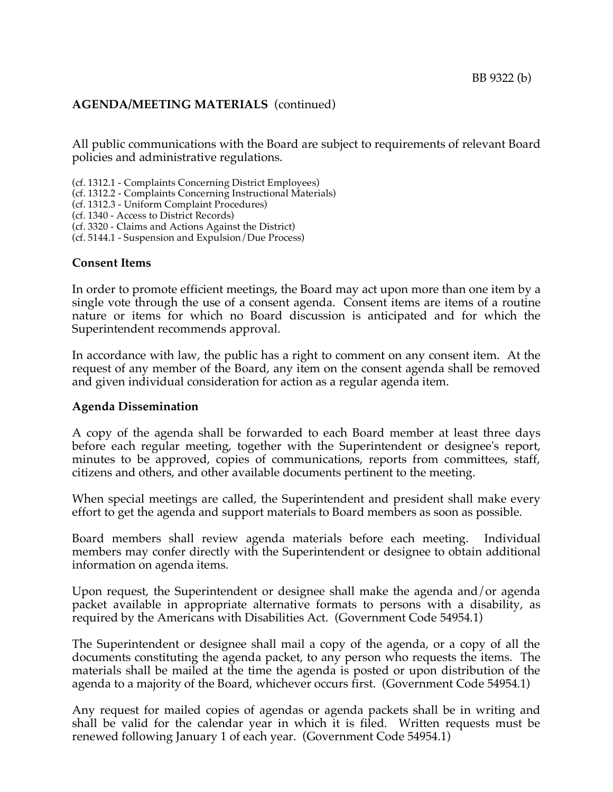# **AGENDA/MEETING MATERIALS** (continued)

All public communications with the Board are subject to requirements of relevant Board policies and administrative regulations.

(cf. 1312.1 - Complaints Concerning District Employees)

- (cf. 1312.2 Complaints Concerning Instructional Materials)
- (cf. 1312.3 Uniform Complaint Procedures)

(cf. 1340 - Access to District Records)

(cf. 3320 - Claims and Actions Against the District)

(cf. 5144.1 - Suspension and Expulsion/Due Process)

## **Consent Items**

In order to promote efficient meetings, the Board may act upon more than one item by a single vote through the use of a consent agenda. Consent items are items of a routine nature or items for which no Board discussion is anticipated and for which the Superintendent recommends approval.

In accordance with law, the public has a right to comment on any consent item. At the request of any member of the Board, any item on the consent agenda shall be removed and given individual consideration for action as a regular agenda item.

# **Agenda Dissemination**

A copy of the agenda shall be forwarded to each Board member at least three days before each regular meeting, together with the Superintendent or designee's report, minutes to be approved, copies of communications, reports from committees, staff, citizens and others, and other available documents pertinent to the meeting.

When special meetings are called, the Superintendent and president shall make every effort to get the agenda and support materials to Board members as soon as possible.

Board members shall review agenda materials before each meeting. Individual members may confer directly with the Superintendent or designee to obtain additional information on agenda items.

Upon request, the Superintendent or designee shall make the agenda and/or agenda packet available in appropriate alternative formats to persons with a disability, as required by the Americans with Disabilities Act. (Government Code 54954.1)

The Superintendent or designee shall mail a copy of the agenda, or a copy of all the documents constituting the agenda packet, to any person who requests the items. The materials shall be mailed at the time the agenda is posted or upon distribution of the agenda to a majority of the Board, whichever occurs first. (Government Code 54954.1)

Any request for mailed copies of agendas or agenda packets shall be in writing and shall be valid for the calendar year in which it is filed. Written requests must be renewed following January 1 of each year. (Government Code 54954.1)